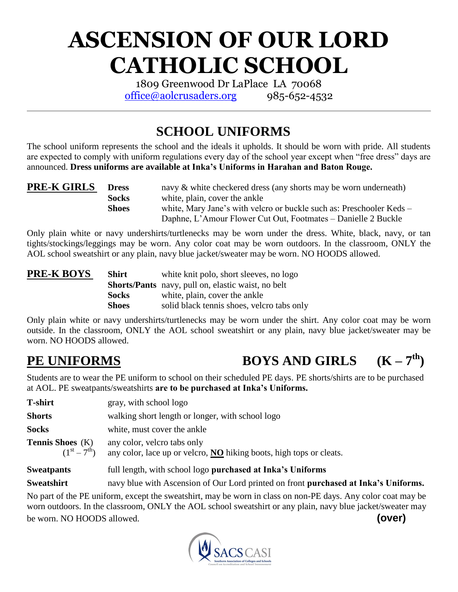# **ASCENSION OF OUR LORD CATHOLIC SCHOOL**

1809 Greenwood Dr LaPlace LA 70068 office@aolcrusaders.org  $985-652-4532$ 

# **SCHOOL UNIFORMS**

The school uniform represents the school and the ideals it upholds. It should be worn with pride. All students are expected to comply with uniform regulations every day of the school year except when "free dress" days are announced. **Dress uniforms are available at Inka's Uniforms in Harahan and Baton Rouge.**

| <b>PRE-K GIRLS</b> | <b>Dress</b> | navy & white checkered dress (any shorts may be worn underneath)     |
|--------------------|--------------|----------------------------------------------------------------------|
|                    | <b>Socks</b> | white, plain, cover the ankle                                        |
|                    | <b>Shoes</b> | white, Mary Jane's with velcro or buckle such as: Preschooler Keds – |
|                    |              | Daphne, L'Amour Flower Cut Out, Footmates – Danielle 2 Buckle        |

Only plain white or navy undershirts/turtlenecks may be worn under the dress. White, black, navy, or tan tights/stockings/leggings may be worn. Any color coat may be worn outdoors. In the classroom, ONLY the AOL school sweatshirt or any plain, navy blue jacket/sweater may be worn. NO HOODS allowed.

| <b>PRE-K BOYS</b> | <b>Shirt</b> | white knit polo, short sleeves, no logo                   |
|-------------------|--------------|-----------------------------------------------------------|
|                   |              | <b>Shorts/Pants</b> navy, pull on, elastic waist, no belt |
|                   | <b>Socks</b> | white, plain, cover the ankle                             |
|                   | <b>Shoes</b> | solid black tennis shoes, velcro tabs only                |

Only plain white or navy undershirts/turtlenecks may be worn under the shirt. Any color coat may be worn outside. In the classroom, ONLY the AOL school sweatshirt or any plain, navy blue jacket/sweater may be worn. NO HOODS allowed.

#### **PE UNIFORMS BOYS AND GIRLS**  $(K - 7<sup>th</sup>)$

Students are to wear the PE uniform to school on their scheduled PE days. PE shorts/shirts are to be purchased at AOL. PE sweatpants/sweatshirts **are to be purchased at Inka's Uniforms.**

| <b>T-shirt</b>                                         | gray, with school logo                                                                                          |  |  |
|--------------------------------------------------------|-----------------------------------------------------------------------------------------------------------------|--|--|
| <b>Shorts</b>                                          | walking short length or longer, with school logo                                                                |  |  |
| <b>Socks</b>                                           | white, must cover the ankle                                                                                     |  |  |
| <b>Tennis Shoes</b> (K)<br>$(1^{\rm st} - 7^{\rm th})$ | any color, velcro tabs only<br>any color, lace up or velcro, $\overline{NO}$ hiking boots, high tops or cleats. |  |  |
| <b>Sweatpants</b>                                      | full length, with school logo purchased at Inka's Uniforms                                                      |  |  |
| <b>Sweatshirt</b>                                      | navy blue with Ascension of Our Lord printed on front <b>purchased at Inka's Uniforms.</b>                      |  |  |

No part of the PE uniform, except the sweatshirt, may be worn in class on non-PE days. Any color coat may be worn outdoors. In the classroom, ONLY the AOL school sweatshirt or any plain, navy blue jacket/sweater may be worn. NO HOODS allowed. **(over)**